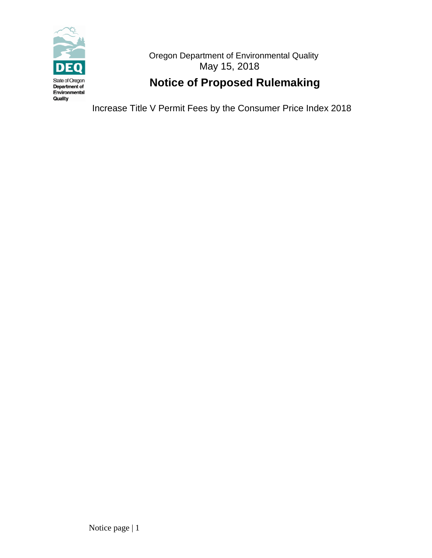

 Oregon Department of Environmental Quality May 15, 2018

# **Notice of Proposed Rulemaking**

Increase Title V Permit Fees by the Consumer Price Index 2018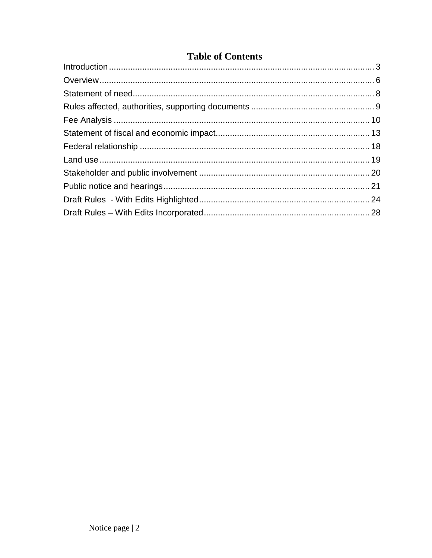## **Table of Contents**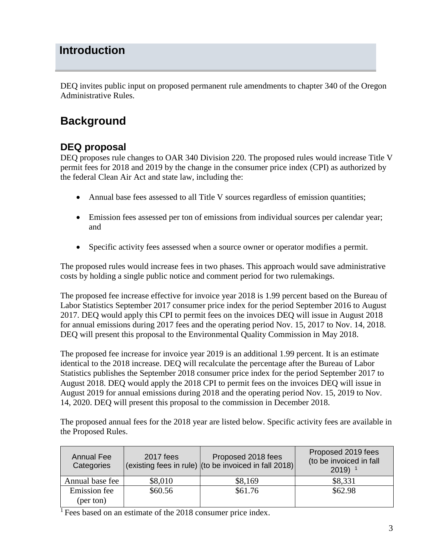# <span id="page-2-0"></span>**Introduction**

DEQ invites public input on proposed permanent rule amendments to chapter 340 of the Oregon Administrative Rules.

# **Background**

## **DEQ proposal**

DEQ proposes rule changes to OAR 340 Division 220. The proposed rules would increase Title V permit fees for 2018 and 2019 by the change in the consumer price index (CPI) as authorized by the federal Clean Air Act and state law, including the:

- Annual base fees assessed to all Title V sources regardless of emission quantities;
- Emission fees assessed per ton of emissions from individual sources per calendar year; and
- Specific activity fees assessed when a source owner or operator modifies a permit.

The proposed rules would increase fees in two phases. This approach would save administrative costs by holding a single public notice and comment period for two rulemakings.

The proposed fee increase effective for invoice year 2018 is 1.99 percent based on the Bureau of Labor Statistics September 2017 consumer price index for the period September 2016 to August 2017. DEQ would apply this CPI to permit fees on the invoices DEQ will issue in August 2018 for annual emissions during 2017 fees and the operating period Nov. 15, 2017 to Nov. 14, 2018. DEQ will present this proposal to the Environmental Quality Commission in May 2018.

The proposed fee increase for invoice year 2019 is an additional 1.99 percent. It is an estimate identical to the 2018 increase. DEQ will recalculate the percentage after the Bureau of Labor Statistics publishes the September 2018 consumer price index for the period September 2017 to August 2018. DEQ would apply the 2018 CPI to permit fees on the invoices DEQ will issue in August 2019 for annual emissions during 2018 and the operating period Nov. 15, 2019 to Nov. 14, 2020. DEQ will present this proposal to the commission in December 2018.

The proposed annual fees for the 2018 year are listed below. Specific activity fees are available in the Proposed Rules.

| <b>Annual Fee</b><br>Categories | 2017 fees | Proposed 2018 fees<br>(existing fees in rule) (to be invoiced in fall 2018) | Proposed 2019 fees<br>(to be invoiced in fall<br>$2019$ <sup>1</sup> |
|---------------------------------|-----------|-----------------------------------------------------------------------------|----------------------------------------------------------------------|
| Annual base fee                 | \$8,010   | \$8,169                                                                     | \$8,331                                                              |
| Emission fee                    | \$60.56   | \$61.76                                                                     | \$62.98                                                              |
| (per ton)                       |           |                                                                             |                                                                      |

<sup>1</sup> Fees based on an estimate of the 2018 consumer price index.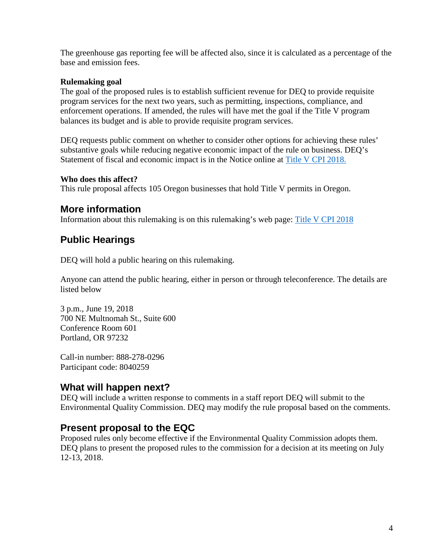The greenhouse gas reporting fee will be affected also, since it is calculated as a percentage of the base and emission fees.

#### **Rulemaking goal**

The goal of the proposed rules is to establish sufficient revenue for DEQ to provide requisite program services for the next two years, such as permitting, inspections, compliance, and enforcement operations. If amended, the rules will have met the goal if the Title V program balances its budget and is able to provide requisite program services.

DEQ requests public comment on whether to consider other options for achieving these rules' substantive goals while reducing negative economic impact of the rule on business. DEQ's Statement of fiscal and economic impact is in the Notice online at [Title V CPI 2018.](http://www.oregon.gov/deq/Regulations/rulemaking/Pages/rTitleVCPI2018.aspx) 

#### **Who does this affect?**

This rule proposal affects 105 Oregon businesses that hold Title V permits in Oregon.

## **More information**

Information about this rulemaking is on this rulemaking's web page: [Title V CPI 2018](http://www.oregon.gov/deq/Regulations/rulemaking/Pages/rTitleVCPI2018.aspx)

## **Public Hearings**

DEQ will hold a public hearing on this rulemaking.

Anyone can attend the public hearing, either in person or through teleconference. The details are listed below

3 p.m., June 19, 2018 700 NE Multnomah St., Suite 600 Conference Room 601 Portland, OR 97232

Call-in number: 888-278-0296 Participant code: 8040259

## **What will happen next?**

DEQ will include a written response to comments in a staff report DEQ will submit to the Environmental Quality Commission. DEQ may modify the rule proposal based on the comments.

## **Present proposal to the EQC**

Proposed rules only become effective if the Environmental Quality Commission adopts them. DEQ plans to present the proposed rules to the commission for a decision at its meeting on July 12-13, 2018.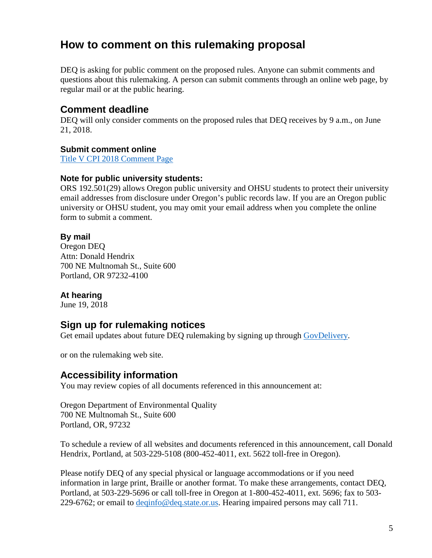# **How to comment on this rulemaking proposal**

DEQ is asking for public comment on the proposed rules. Anyone can submit comments and questions about this rulemaking. A person can submit comments through an online web page, by regular mail or at the public hearing.

## **Comment deadline**

DEQ will only consider comments on the proposed rules that DEQ receives by 9 a.m., on June 21, 2018.

### **Submit comment online**

[Title V CPI 2018 Comment Page](http://www.oregon.gov/deq/Regulations/rulemaking/Pages/cTitleVCPI2018.aspx)

### **Note for public university students:**

ORS 192.501(29) allows Oregon public university and OHSU students to protect their university email addresses from disclosure under Oregon's public records law. If you are an Oregon public university or OHSU student, you may omit your email address when you complete the online form to submit a comment.

### **By mail**

Oregon DEQ Attn: Donald Hendrix 700 NE Multnomah St., Suite 600 Portland, OR 97232-4100

### **At hearing**

June 19, 2018

## **Sign up for rulemaking notices**

Get email updates about future DEO rulemaking by signing up through [GovDelivery.](https://public.govdelivery.com/accounts/ORDEQ/subscriber/new?topic_id=ORDEQ_397)

or on the rulemaking web site.

## **Accessibility information**

You may review copies of all documents referenced in this announcement at:

Oregon Department of Environmental Quality 700 NE Multnomah St., Suite 600 Portland, OR, 97232

To schedule a review of all websites and documents referenced in this announcement, call Donald Hendrix, Portland, at 503-229-5108 (800-452-4011, ext. 5622 toll-free in Oregon).

Please notify DEQ of any special physical or language accommodations or if you need information in large print, Braille or another format. To make these arrangements, contact DEQ, Portland, at 503-229-5696 or call toll-free in Oregon at 1-800-452-4011, ext. 5696; fax to 503 229-6762; or email to [deqinfo@deq.state.or.us.](mailto:deqinfo@deq.state.or.us) Hearing impaired persons may call 711.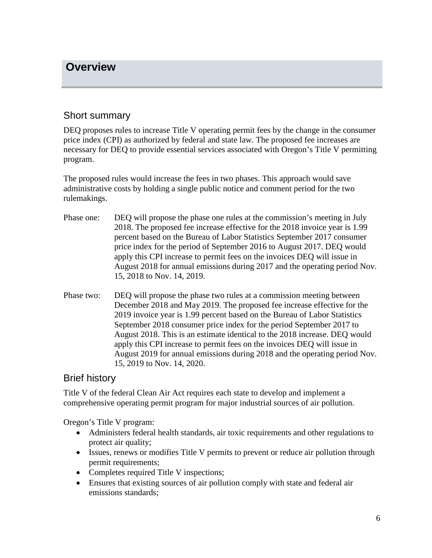## <span id="page-5-0"></span>**Overview**

## Short summary

DEQ proposes rules to increase Title V operating permit fees by the change in the consumer price index (CPI) as authorized by federal and state law. The proposed fee increases are necessary for DEQ to provide essential services associated with Oregon's Title V permitting program.

The proposed rules would increase the fees in two phases. This approach would save administrative costs by holding a single public notice and comment period for the two rulemakings.

- Phase one: DEQ will propose the phase one rules at the commission's meeting in July 2018. The proposed fee increase effective for the 2018 invoice year is 1.99 percent based on the Bureau of Labor Statistics September 2017 consumer price index for the period of September 2016 to August 2017. DEQ would apply this CPI increase to permit fees on the invoices DEQ will issue in August 2018 for annual emissions during 2017 and the operating period Nov. 15, 2018 to Nov. 14, 2019.
- Phase two: DEQ will propose the phase two rules at a commission meeting between December 2018 and May 2019. The proposed fee increase effective for the 2019 invoice year is 1.99 percent based on the Bureau of Labor Statistics September 2018 consumer price index for the period September 2017 to August 2018. This is an estimate identical to the 2018 increase. DEQ would apply this CPI increase to permit fees on the invoices DEQ will issue in August 2019 for annual emissions during 2018 and the operating period Nov. 15, 2019 to Nov. 14, 2020.

## Brief history

Title V of the federal Clean Air Act requires each state to develop and implement a comprehensive operating permit program for major industrial sources of air pollution.

Oregon's Title V program:

- Administers federal health standards, air toxic requirements and other regulations to protect air quality;
- Issues, renews or modifies Title V permits to prevent or reduce air pollution through permit requirements;
- Completes required Title V inspections;
- Ensures that existing sources of air pollution comply with state and federal air emissions standards;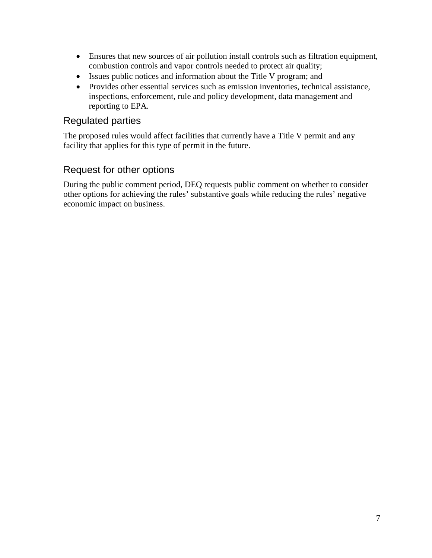- Ensures that new sources of air pollution install controls such as filtration equipment, combustion controls and vapor controls needed to protect air quality;
- Issues public notices and information about the Title V program; and
- Provides other essential services such as emission inventories, technical assistance, inspections, enforcement, rule and policy development, data management and reporting to EPA.

## Regulated parties

The proposed rules would affect facilities that currently have a Title V permit and any facility that applies for this type of permit in the future.

## Request for other options

During the public comment period, DEQ requests public comment on whether to consider other options for achieving the rules' substantive goals while reducing the rules' negative economic impact on business.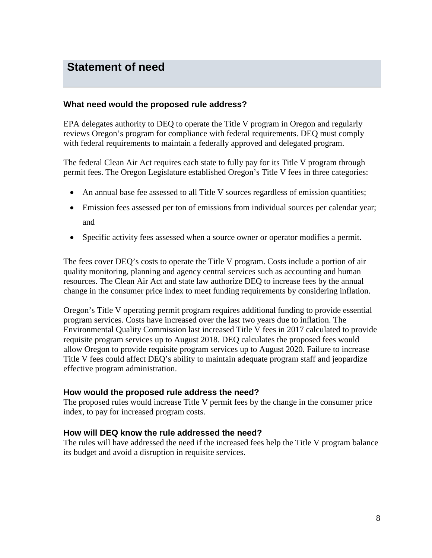## <span id="page-7-0"></span>**Statement of need**

#### **What need would the proposed rule address?**

EPA delegates authority to DEQ to operate the Title V program in Oregon and regularly reviews Oregon's program for compliance with federal requirements. DEQ must comply with federal requirements to maintain a federally approved and delegated program.

The federal Clean Air Act requires each state to fully pay for its Title V program through permit fees. The Oregon Legislature established Oregon's Title V fees in three categories:

- An annual base fee assessed to all Title V sources regardless of emission quantities;
- Emission fees assessed per ton of emissions from individual sources per calendar year; and
- Specific activity fees assessed when a source owner or operator modifies a permit.

The fees cover DEQ's costs to operate the Title V program. Costs include a portion of air quality monitoring, planning and agency central services such as accounting and human resources. The Clean Air Act and state law authorize DEQ to increase fees by the annual change in the consumer price index to meet funding requirements by considering inflation.

Oregon's Title V operating permit program requires additional funding to provide essential program services. Costs have increased over the last two years due to inflation. The Environmental Quality Commission last increased Title V fees in 2017 calculated to provide requisite program services up to August 2018. DEQ calculates the proposed fees would allow Oregon to provide requisite program services up to August 2020. Failure to increase Title V fees could affect DEQ's ability to maintain adequate program staff and jeopardize effective program administration.

#### **How would the proposed rule address the need?**

The proposed rules would increase Title V permit fees by the change in the consumer price index, to pay for increased program costs.

#### **How will DEQ know the rule addressed the need?**

The rules will have addressed the need if the increased fees help the Title V program balance its budget and avoid a disruption in requisite services.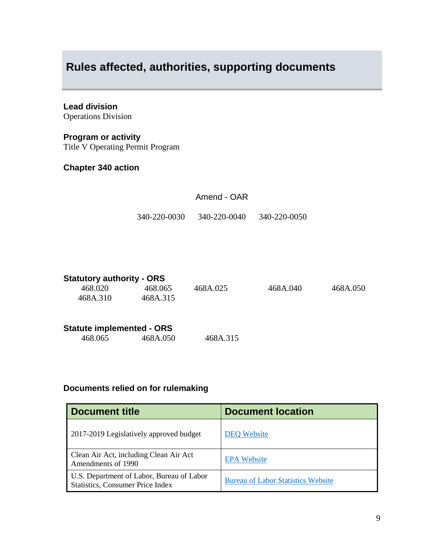# <span id="page-8-0"></span>**Rules affected, authorities, supporting documents**

### **Lead division**

Operations Division

### **Program or activity**

Title V Operating Permit Program

### **Chapter 340 action**

| Amend - OAR |
|-------------|
|-------------|

340-220-0030 340-220-0040 340-220-0050

| <b>Statutory authority - ORS</b> |          |          |          |          |
|----------------------------------|----------|----------|----------|----------|
| 468.020                          | 468.065  | 468A.025 | 468A.040 | 468A.050 |
| 468A.310                         | 468A.315 |          |          |          |
| <b>Statute implemented - ORS</b> |          |          |          |          |
| 468.065                          | 468A.050 | 468A.315 |          |          |

### **Documents relied on for rulemaking**

| <b>Document title</b>                                                                | <b>Document location</b>                  |
|--------------------------------------------------------------------------------------|-------------------------------------------|
| 2017-2019 Legislatively approved budget                                              | <b>DEQ</b> Website                        |
| Clean Air Act, including Clean Air Act<br>Amendments of 1990                         | <b>EPA Website</b>                        |
| U.S. Department of Labor, Bureau of Labor<br><b>Statistics, Consumer Price Index</b> | <b>Bureau of Labor Statistics Website</b> |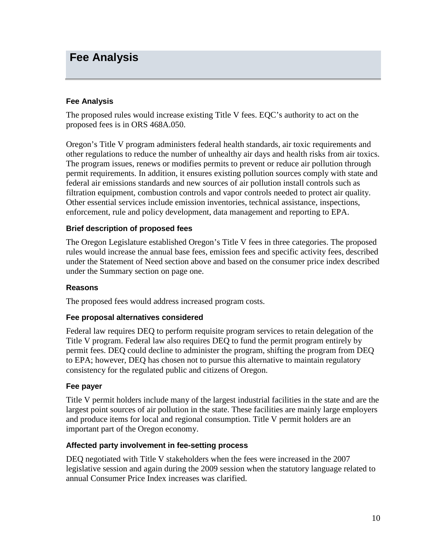## <span id="page-9-0"></span>**Fee Analysis**

#### **Fee Analysis**

The proposed rules would increase existing Title V fees. EQC's authority to act on the proposed fees is in ORS 468A.050.

Oregon's Title V program administers federal health standards, air toxic requirements and other regulations to reduce the number of unhealthy air days and health risks from air toxics. The program issues, renews or modifies permits to prevent or reduce air pollution through permit requirements. In addition, it ensures existing pollution sources comply with state and federal air emissions standards and new sources of air pollution install controls such as filtration equipment, combustion controls and vapor controls needed to protect air quality. Other essential services include emission inventories, technical assistance, inspections, enforcement, rule and policy development, data management and reporting to EPA.

#### **Brief description of proposed fees**

The Oregon Legislature established Oregon's Title V fees in three categories. The proposed rules would increase the annual base fees, emission fees and specific activity fees, described under the Statement of Need section above and based on the consumer price index described under the Summary section on page one.

#### **Reasons**

The proposed fees would address increased program costs.

#### **Fee proposal alternatives considered**

Federal law requires DEQ to perform requisite program services to retain delegation of the Title V program. Federal law also requires DEQ to fund the permit program entirely by permit fees. DEQ could decline to administer the program, shifting the program from DEQ to EPA; however, DEQ has chosen not to pursue this alternative to maintain regulatory consistency for the regulated public and citizens of Oregon.

#### **Fee payer**

Title V permit holders include many of the largest industrial facilities in the state and are the largest point sources of air pollution in the state. These facilities are mainly large employers and produce items for local and regional consumption. Title V permit holders are an important part of the Oregon economy.

#### **Affected party involvement in fee-setting process**

DEQ negotiated with Title V stakeholders when the fees were increased in the 2007 legislative session and again during the 2009 session when the statutory language related to annual Consumer Price Index increases was clarified.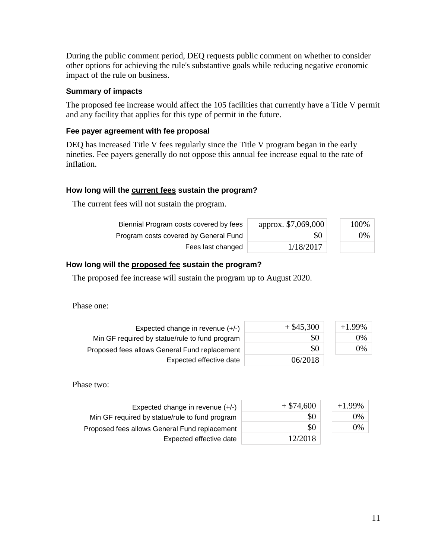During the public comment period, DEQ requests public comment on whether to consider other options for achieving the rule's substantive goals while reducing negative economic impact of the rule on business.

#### **Summary of impacts**

The proposed fee increase would affect the 105 facilities that currently have a Title V permit and any facility that applies for this type of permit in the future.

#### **Fee payer agreement with fee proposal**

DEQ has increased Title V fees regularly since the Title V program began in the early nineties. Fee payers generally do not oppose this annual fee increase equal to the rate of inflation.

#### **How long will the current fees sustain the program?**

The current fees will not sustain the program.

| Biennial Program costs covered by fees | approx. \$7,069,000 | 100% |
|----------------------------------------|---------------------|------|
| Program costs covered by General Fund  | \$0                 | 0%   |
| Fees last changed                      | 1/18/2017           |      |

#### **How long will the proposed fee sustain the program?**

The proposed fee increase will sustain the program up to August 2020.

Phase one:

| Expected change in revenue $(+/-)$             | $+$ \$45,300 | $+1.99\%$ |
|------------------------------------------------|--------------|-----------|
| Min GF required by statue/rule to fund program | \$0          | 0%        |
| Proposed fees allows General Fund replacement  | \$0          | 0%        |
| Expected effective date                        | 06/2018      |           |

Phase two:

| Expected change in revenue $(+/-)$             | $+$ \$74,600 | $+1.99%$ |
|------------------------------------------------|--------------|----------|
| Min GF required by statue/rule to fund program | \$0          | $0\%$    |
| Proposed fees allows General Fund replacement  | \$0          | 0%       |
| Expected effective date                        | 12/2018      |          |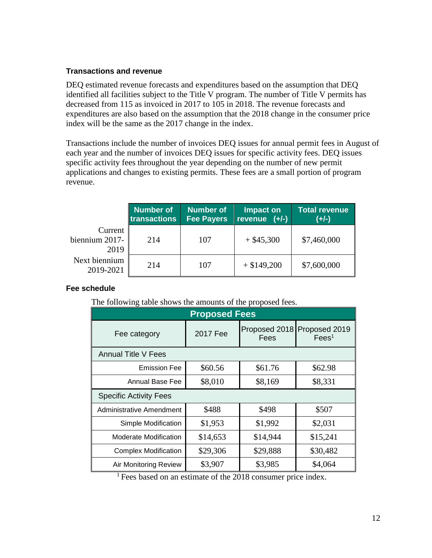#### **Transactions and revenue**

DEQ estimated revenue forecasts and expenditures based on the assumption that DEQ identified all facilities subject to the Title V program. The number of Title V permits has decreased from 115 as invoiced in 2017 to 105 in 2018. The revenue forecasts and expenditures are also based on the assumption that the 2018 change in the consumer price index will be the same as the 2017 change in the index.

Transactions include the number of invoices DEQ issues for annual permit fees in August of each year and the number of invoices DEQ issues for specific activity fees. DEQ issues specific activity fees throughout the year depending on the number of new permit applications and changes to existing permits. These fees are a small portion of program revenue.

|                                   | <b>Number of</b><br>transactions | <b>Number of</b><br><b>Fee Payers</b> | Impact on<br>revenue $(+/-)$ | <b>Total revenue</b><br>$(+/-)$ |
|-----------------------------------|----------------------------------|---------------------------------------|------------------------------|---------------------------------|
| Current<br>biennium 2017-<br>2019 | 214                              | 107                                   | $+$ \$45,300                 | \$7,460,000                     |
| Next biennium<br>2019-2021        | 214                              | 107                                   | $+$ \$149,200                | \$7,600,000                     |

#### **Fee schedule**

The following table shows the amounts of the proposed fees.

| <b>Proposed Fees</b>          |          |                       |                                    |  |  |  |  |
|-------------------------------|----------|-----------------------|------------------------------------|--|--|--|--|
| Fee category                  | 2017 Fee | Proposed 2018<br>Fees | Proposed 2019<br>Fees <sup>1</sup> |  |  |  |  |
| <b>Annual Title V Fees</b>    |          |                       |                                    |  |  |  |  |
| <b>Emission Fee</b>           | \$60.56  | \$61.76               | \$62.98                            |  |  |  |  |
| Annual Base Fee               | \$8,010  | \$8,169               | \$8,331                            |  |  |  |  |
| <b>Specific Activity Fees</b> |          |                       |                                    |  |  |  |  |
| Administrative Amendment      | \$488    | \$498                 | \$507                              |  |  |  |  |
| Simple Modification           | \$1,953  | \$1,992               | \$2,031                            |  |  |  |  |
| Moderate Modification         | \$14,653 | \$14,944              | \$15,241                           |  |  |  |  |
| <b>Complex Modification</b>   | \$29,306 | \$29,888              | \$30,482                           |  |  |  |  |
| Air Monitoring Review         | \$3,907  | \$3,985               | \$4,064                            |  |  |  |  |

<sup>1</sup> Fees based on an estimate of the 2018 consumer price index.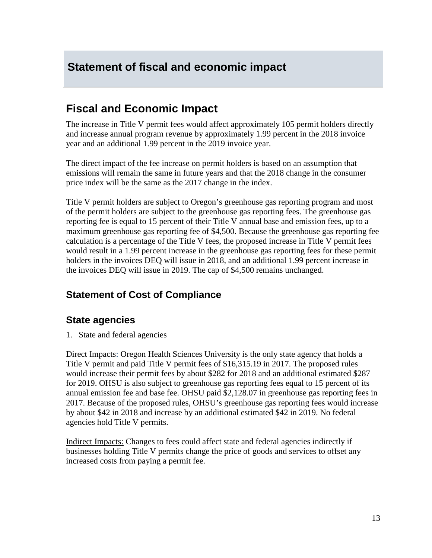# <span id="page-12-0"></span>**Statement of fiscal and economic impact**

# **Fiscal and Economic Impact**

The increase in Title V permit fees would affect approximately 105 permit holders directly and increase annual program revenue by approximately 1.99 percent in the 2018 invoice year and an additional 1.99 percent in the 2019 invoice year.

The direct impact of the fee increase on permit holders is based on an assumption that emissions will remain the same in future years and that the 2018 change in the consumer price index will be the same as the 2017 change in the index.

Title V permit holders are subject to Oregon's greenhouse gas reporting program and most of the permit holders are subject to the greenhouse gas reporting fees. The greenhouse gas reporting fee is equal to 15 percent of their Title V annual base and emission fees, up to a maximum greenhouse gas reporting fee of \$4,500. Because the greenhouse gas reporting fee calculation is a percentage of the Title V fees, the proposed increase in Title V permit fees would result in a 1.99 percent increase in the greenhouse gas reporting fees for these permit holders in the invoices DEQ will issue in 2018, and an additional 1.99 percent increase in the invoices DEQ will issue in 2019. The cap of \$4,500 remains unchanged.

## **Statement of Cost of Compliance**

## **State agencies**

1. State and federal agencies

Direct Impacts: Oregon Health Sciences University is the only state agency that holds a Title V permit and paid Title V permit fees of \$16,315.19 in 2017. The proposed rules would increase their permit fees by about \$282 for 2018 and an additional estimated \$287 for 2019. OHSU is also subject to greenhouse gas reporting fees equal to 15 percent of its annual emission fee and base fee. OHSU paid \$2,128.07 in greenhouse gas reporting fees in 2017. Because of the proposed rules, OHSU's greenhouse gas reporting fees would increase by about \$42 in 2018 and increase by an additional estimated \$42 in 2019. No federal agencies hold Title V permits.

Indirect Impacts: Changes to fees could affect state and federal agencies indirectly if businesses holding Title V permits change the price of goods and services to offset any increased costs from paying a permit fee.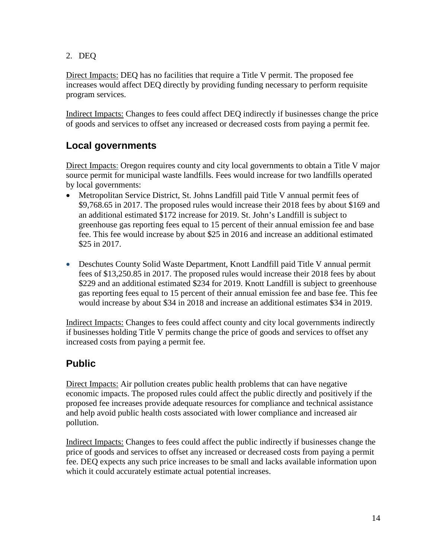2. DEQ

Direct Impacts: DEQ has no facilities that require a Title V permit. The proposed fee increases would affect DEQ directly by providing funding necessary to perform requisite program services.

Indirect Impacts: Changes to fees could affect DEQ indirectly if businesses change the price of goods and services to offset any increased or decreased costs from paying a permit fee.

## **Local governments**

Direct Impacts: Oregon requires county and city local governments to obtain a Title V major source permit for municipal waste landfills. Fees would increase for two landfills operated by local governments:

- Metropolitan Service District, St. Johns Landfill paid Title V annual permit fees of \$9,768.65 in 2017. The proposed rules would increase their 2018 fees by about \$169 and an additional estimated \$172 increase for 2019. St. John's Landfill is subject to greenhouse gas reporting fees equal to 15 percent of their annual emission fee and base fee. This fee would increase by about \$25 in 2016 and increase an additional estimated \$25 in 2017.
- Deschutes County Solid Waste Department, Knott Landfill paid Title V annual permit fees of \$13,250.85 in 2017. The proposed rules would increase their 2018 fees by about \$229 and an additional estimated \$234 for 2019. Knott Landfill is subject to greenhouse gas reporting fees equal to 15 percent of their annual emission fee and base fee. This fee would increase by about \$34 in 2018 and increase an additional estimates \$34 in 2019.

Indirect Impacts: Changes to fees could affect county and city local governments indirectly if businesses holding Title V permits change the price of goods and services to offset any increased costs from paying a permit fee.

## **Public**

Direct Impacts: Air pollution creates public health problems that can have negative economic impacts. The proposed rules could affect the public directly and positively if the proposed fee increases provide adequate resources for compliance and technical assistance and help avoid public health costs associated with lower compliance and increased air pollution.

Indirect Impacts: Changes to fees could affect the public indirectly if businesses change the price of goods and services to offset any increased or decreased costs from paying a permit fee. DEQ expects any such price increases to be small and lacks available information upon which it could accurately estimate actual potential increases.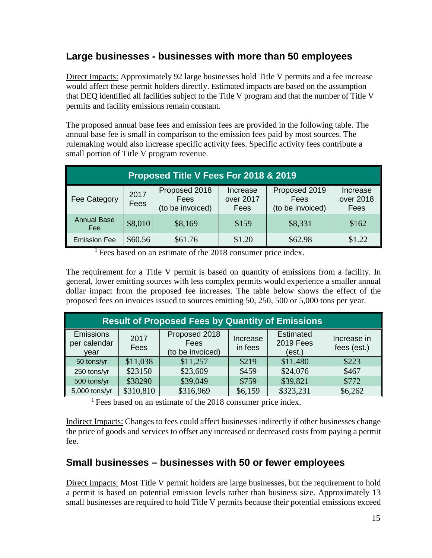## **Large businesses - businesses with more than 50 employees**

Direct Impacts: Approximately 92 large businesses hold Title V permits and a fee increase would affect these permit holders directly. Estimated impacts are based on the assumption that DEQ identified all facilities subject to the Title V program and that the number of Title V permits and facility emissions remain constant.

The proposed annual base fees and emission fees are provided in the following table. The annual base fee is small in comparison to the emission fees paid by most sources. The rulemaking would also increase specific activity fees. Specific activity fees contribute a small portion of Title V program revenue.

| Proposed Title V Fees For 2018 & 2019 |              |                                           |                               |                                           |                               |  |
|---------------------------------------|--------------|-------------------------------------------|-------------------------------|-------------------------------------------|-------------------------------|--|
| <b>Fee Category</b>                   | 2017<br>Fees | Proposed 2018<br>Fees<br>(to be invoiced) | Increase<br>over 2017<br>Fees | Proposed 2019<br>Fees<br>(to be invoiced) | Increase<br>over 2018<br>Fees |  |
| <b>Annual Base</b><br>Fee             | \$8,010      | \$8,169                                   | \$159                         | \$8,331                                   | \$162                         |  |
| <b>Emission Fee</b>                   | \$60.56      | \$61.76                                   | \$1.20                        | \$62.98                                   | \$1.22                        |  |

<sup>1</sup> Fees based on an estimate of the 2018 consumer price index.

The requirement for a Title V permit is based on quantity of emissions from a facility. In general, lower emitting sources with less complex permits would experience a smaller annual dollar impact from the proposed fee increases. The table below shows the effect of the proposed fees on invoices issued to sources emitting 50, 250, 500 or 5,000 tons per year.

| <b>Result of Proposed Fees by Quantity of Emissions</b> |              |                                           |                     |                                                |                            |  |
|---------------------------------------------------------|--------------|-------------------------------------------|---------------------|------------------------------------------------|----------------------------|--|
| Emissions<br>per calendar<br>vear                       | 2017<br>Fees | Proposed 2018<br>Fees<br>(to be invoiced) | Increase<br>in fees | <b>Estimated</b><br><b>2019 Fees</b><br>(est.) | Increase in<br>fees (est.) |  |
| 50 tons/yr                                              | \$11,038     | \$11,257                                  | \$219               | \$11,480                                       | \$223                      |  |
| 250 tons/yr                                             | \$23150      | \$23,609                                  | \$459               | \$24,076                                       | \$467                      |  |
| 500 tons/yr                                             | \$38290      | \$39,049                                  | \$759               | \$39,821                                       | \$772                      |  |
| 5,000 tons/yr                                           | \$310,810    | \$316,969                                 | \$6,159             | \$323,231                                      | \$6,262                    |  |

<sup>1</sup> Fees based on an estimate of the 2018 consumer price index.

Indirect Impacts: Changes to fees could affect businesses indirectly if other businesses change the price of goods and services to offset any increased or decreased costs from paying a permit fee.

## **Small businesses – businesses with 50 or fewer employees**

Direct Impacts: Most Title V permit holders are large businesses, but the requirement to hold a permit is based on potential emission levels rather than business size. Approximately 13 small businesses are required to hold Title V permits because their potential emissions exceed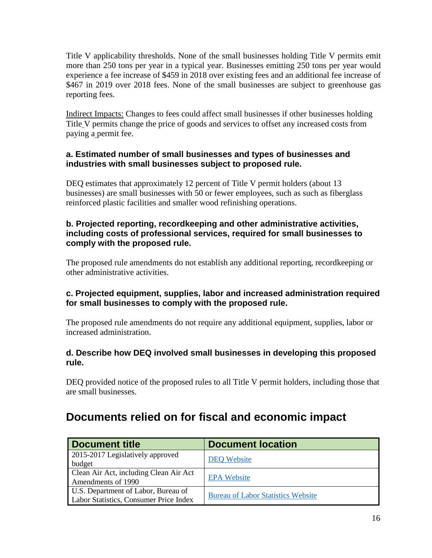Title V applicability thresholds. None of the small businesses holding Title V permits emit more than 250 tons per year in a typical year. Businesses emitting 250 tons per year would experience a fee increase of \$459 in 2018 over existing fees and an additional fee increase of \$467 in 2019 over 2018 fees. None of the small businesses are subject to greenhouse gas reporting fees.

Indirect Impacts: Changes to fees could affect small businesses if other businesses holding Title V permits change the price of goods and services to offset any increased costs from paying a permit fee.

### **a. Estimated number of small businesses and types of businesses and industries with small businesses subject to proposed rule.**

DEQ estimates that approximately 12 percent of Title V permit holders (about 13 businesses) are small businesses with 50 or fewer employees, such as such as fiberglass reinforced plastic facilities and smaller wood refinishing operations.

### **b. Projected reporting, recordkeeping and other administrative activities, including costs of professional services, required for small businesses to comply with the proposed rule.**

The proposed rule amendments do not establish any additional reporting, recordkeeping or other administrative activities.

### **c. Projected equipment, supplies, labor and increased administration required for small businesses to comply with the proposed rule.**

The proposed rule amendments do not require any additional equipment, supplies, labor or increased administration.

### **d. Describe how DEQ involved small businesses in developing this proposed rule.**

DEQ provided notice of the proposed rules to all Title V permit holders, including those that are small businesses.

# **Documents relied on for fiscal and economic impact**

| <b>Document title</b>                  | <b>Document location</b>                  |
|----------------------------------------|-------------------------------------------|
| 2015-2017 Legislatively approved       | <b>DEQ Website</b>                        |
| budget                                 |                                           |
| Clean Air Act, including Clean Air Act | <b>EPA Website</b>                        |
| Amendments of 1990                     |                                           |
| U.S. Department of Labor, Bureau of    |                                           |
| Labor Statistics, Consumer Price Index | <b>Bureau of Labor Statistics Website</b> |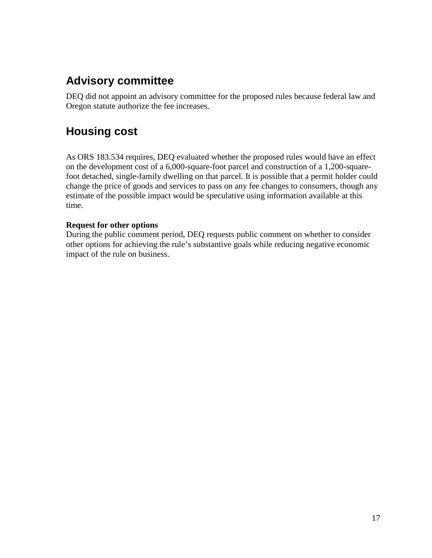# **Advisory committee**

DEQ did not appoint an advisory committee for the proposed rules because federal law and Oregon statute authorize the fee increases.

# **Housing cost**

As ORS 183.534 requires, DEQ evaluated whether the proposed rules would have an effect on the development cost of a 6,000-square-foot parcel and construction of a 1,200-squarefoot detached, single-family dwelling on that parcel. It is possible that a permit holder could change the price of goods and services to pass on any fee changes to consumers, though any estimate of the possible impact would be speculative using information available at this time.

### **Request for other options**

During the public comment period, DEQ requests public comment on whether to consider other options for achieving the rule's substantive goals while reducing negative economic impact of the rule on business.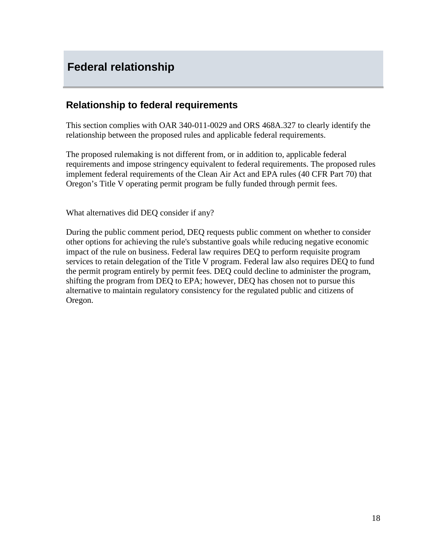# <span id="page-17-0"></span>**Federal relationship**

## **Relationship to federal requirements**

This section complies with OAR 340-011-0029 and ORS 468A.327 to clearly identify the relationship between the proposed rules and applicable federal requirements.

The proposed rulemaking is not different from, or in addition to, applicable federal requirements and impose stringency equivalent to federal requirements. The proposed rules implement federal requirements of the Clean Air Act and EPA rules (40 CFR Part 70) that Oregon's Title V operating permit program be fully funded through permit fees.

What alternatives did DEQ consider if any?

During the public comment period, DEQ requests public comment on whether to consider other options for achieving the rule's substantive goals while reducing negative economic impact of the rule on business. Federal law requires DEQ to perform requisite program services to retain delegation of the Title V program. Federal law also requires DEQ to fund the permit program entirely by permit fees. DEQ could decline to administer the program, shifting the program from DEQ to EPA; however, DEQ has chosen not to pursue this alternative to maintain regulatory consistency for the regulated public and citizens of Oregon.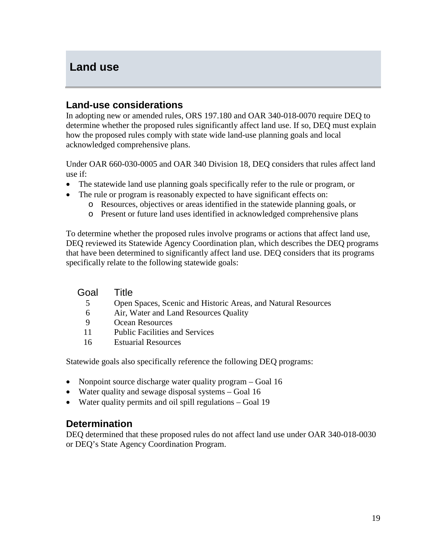## <span id="page-18-0"></span>**Land use**

## **Land-use considerations**

In adopting new or amended rules, ORS 197.180 and OAR 340-018-0070 require DEQ to determine whether the proposed rules significantly affect land use. If so, DEQ must explain how the proposed rules comply with state wide land-use planning goals and local acknowledged comprehensive plans.

Under OAR 660-030-0005 and OAR 340 Division 18, DEQ considers that rules affect land use if:

- The statewide land use planning goals specifically refer to the rule or program, or
- The rule or program is reasonably expected to have significant effects on:
	- o Resources, objectives or areas identified in the statewide planning goals, or
	- o Present or future land uses identified in acknowledged comprehensive plans

To determine whether the proposed rules involve programs or actions that affect land use, DEQ reviewed its Statewide Agency Coordination plan, which describes the DEQ programs that have been determined to significantly affect land use. DEQ considers that its programs specifically relate to the following statewide goals:

| Goal | Title                                                         |
|------|---------------------------------------------------------------|
| 5    | Open Spaces, Scenic and Historic Areas, and Natural Resources |
| 6    | Air, Water and Land Resources Quality                         |
| 9    | Ocean Resources                                               |
| 11   | <b>Public Facilities and Services</b>                         |
| 16   | <b>Estuarial Resources</b>                                    |

Statewide goals also specifically reference the following DEQ programs:

- Nonpoint source discharge water quality program Goal 16
- Water quality and sewage disposal systems Goal 16
- Water quality permits and oil spill regulations Goal 19

## **Determination**

DEQ determined that these proposed rules do not affect land use under OAR 340-018-0030 or DEQ's State Agency Coordination Program.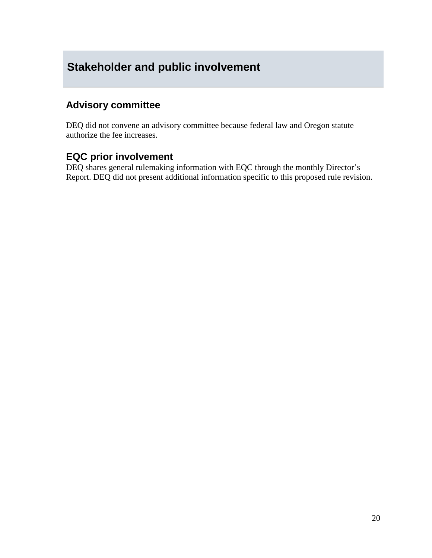# <span id="page-19-0"></span>**Stakeholder and public involvement**

## **Advisory committee**

DEQ did not convene an advisory committee because federal law and Oregon statute authorize the fee increases.

## **EQC prior involvement**

DEQ shares general rulemaking information with EQC through the monthly Director's Report. DEQ did not present additional information specific to this proposed rule revision.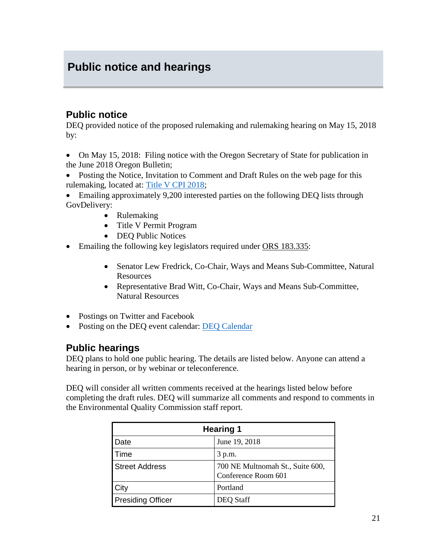# <span id="page-20-0"></span>**Public notice and hearings**

## **Public notice**

DEQ provided notice of the proposed rulemaking and rulemaking hearing on May 15, 2018 by:

- On May 15, 2018: Filing notice with the Oregon Secretary of State for publication in the June 2018 Oregon Bulletin;
- Posting the Notice, Invitation to Comment and Draft Rules on the web page for this rulemaking, located at: [Title V CPI 2018;](http://www.oregon.gov/deq/Regulations/rulemaking/Pages/RTitleVCPI2018.aspx)

• Emailing approximately 9,200 interested parties on the following DEQ lists through GovDelivery:

- Rulemaking
- Title V Permit Program
- DEQ Public Notices
- Emailing the following key legislators required under [ORS 183.335:](http://www.leg.state.or.us/ors/183.html)
	- Senator Lew Fredrick, Co-Chair, Ways and Means Sub-Committee, Natural Resources
	- Representative Brad Witt, Co-Chair, Ways and Means Sub-Committee, Natural Resources
- Postings on Twitter and Facebook
- Posting on the DEQ event calendar: [DEQ Calendar](http://oregon.gov/deq/Pages/Events.aspx)

## **Public hearings**

DEQ plans to hold one public hearing. The details are listed below. Anyone can attend a hearing in person, or by webinar or teleconference.

DEQ will consider all written comments received at the hearings listed below before completing the draft rules. DEQ will summarize all comments and respond to comments in the Environmental Quality Commission staff report.

| <b>Hearing 1</b>         |                                                         |  |
|--------------------------|---------------------------------------------------------|--|
| Date                     | June 19, 2018                                           |  |
| Time                     | 3 p.m.                                                  |  |
| <b>Street Address</b>    | 700 NE Multnomah St., Suite 600,<br>Conference Room 601 |  |
| City                     | Portland                                                |  |
| <b>Presiding Officer</b> | <b>DEQ Staff</b>                                        |  |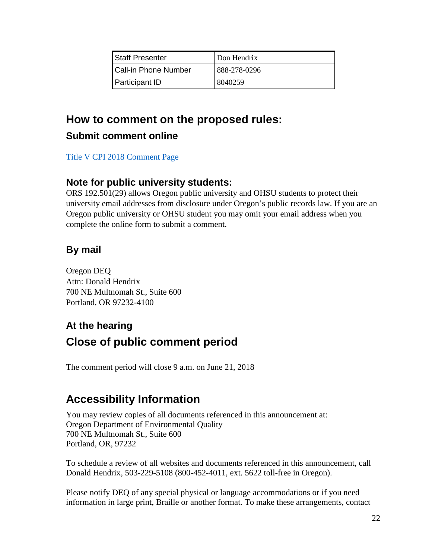| <b>Staff Presenter</b>      | Don Hendrix  |
|-----------------------------|--------------|
| <b>Call-in Phone Number</b> | 888-278-0296 |
| <b>Participant ID</b>       | 8040259      |

# **How to comment on the proposed rules: Submit comment online**

[Title V CPI 2018 Comment Page](http://www.oregon.gov/deq/Regulations/rulemaking/Pages/cTitleVCPI2018.aspx)

## **Note for public university students:**

ORS 192.501(29) allows Oregon public university and OHSU students to protect their university email addresses from disclosure under Oregon's public records law. If you are an Oregon public university or OHSU student you may omit your email address when you complete the online form to submit a comment.

# **By mail**

Oregon DEQ Attn: Donald Hendrix 700 NE Multnomah St., Suite 600 Portland, OR 97232-4100

# **At the hearing Close of public comment period**

The comment period will close 9 a.m. on June 21, 2018

# **Accessibility Information**

You may review copies of all documents referenced in this announcement at: Oregon Department of Environmental Quality 700 NE Multnomah St., Suite 600 Portland, OR, 97232

To schedule a review of all websites and documents referenced in this announcement, call Donald Hendrix, 503-229-5108 (800-452-4011, ext. 5622 toll-free in Oregon).

Please notify DEQ of any special physical or language accommodations or if you need information in large print, Braille or another format. To make these arrangements, contact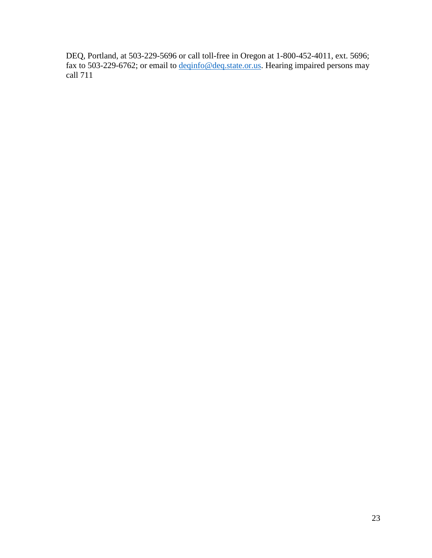DEQ, Portland, at 503-229-5696 or call toll-free in Oregon at 1-800-452-4011, ext. 5696; fax to 503-229-6762; or email to *deqinfo@deq.state.or.us*. Hearing impaired persons may call 711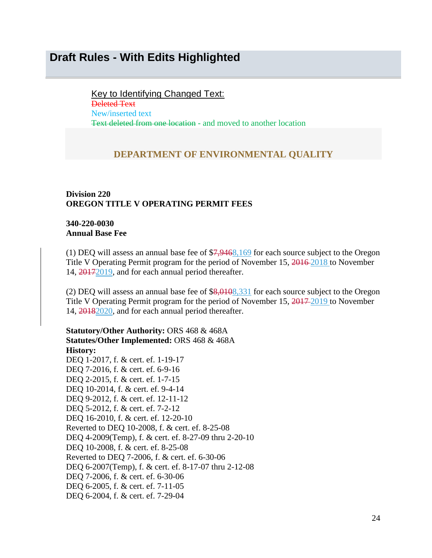## <span id="page-23-0"></span>**Draft Rules - With Edits Highlighted**

Key to Identifying Changed Text:

Deleted Text New/inserted text Text deleted from one location - and moved to another location

#### **DEPARTMENT OF ENVIRONMENTAL QUALITY**

#### **Division 220 OREGON TITLE V OPERATING PERMIT FEES**

#### **340-220-0030 Annual Base Fee**

(1) DEQ will assess an annual base fee of \$7,9468,169 for each source subject to the Oregon Title V Operating Permit program for the period of November 15, 2016 2018 to November 14, 20172019, and for each annual period thereafter.

(2) DEQ will assess an annual base fee of \$8,0108,331 for each source subject to the Oregon Title V Operating Permit program for the period of November 15, 2017-2019 to November 14, 20182020, and for each annual period thereafter.

**Statutory/Other Authority:** ORS 468 & 468A **Statutes/Other Implemented:** ORS 468 & 468A **History:** DEQ 1-2017, f. & cert. ef. 1-19-17 DEQ 7-2016, f. & cert. ef. 6-9-16 DEQ 2-2015, f. & cert. ef. 1-7-15 DEQ 10-2014, f. & cert. ef. 9-4-14 DEQ 9-2012, f. & cert. ef. 12-11-12 DEQ 5-2012, f. & cert. ef. 7-2-12 DEQ 16-2010, f. & cert. ef. 12-20-10 Reverted to DEQ 10-2008, f. & cert. ef. 8-25-08 DEQ 4-2009(Temp), f. & cert. ef. 8-27-09 thru 2-20-10 DEQ 10-2008, f. & cert. ef. 8-25-08 Reverted to DEQ 7-2006, f. & cert. ef. 6-30-06 DEQ 6-2007(Temp), f. & cert. ef. 8-17-07 thru 2-12-08 DEQ 7-2006, f. & cert. ef. 6-30-06 DEQ 6-2005, f. & cert. ef. 7-11-05 DEQ 6-2004, f. & cert. ef. 7-29-04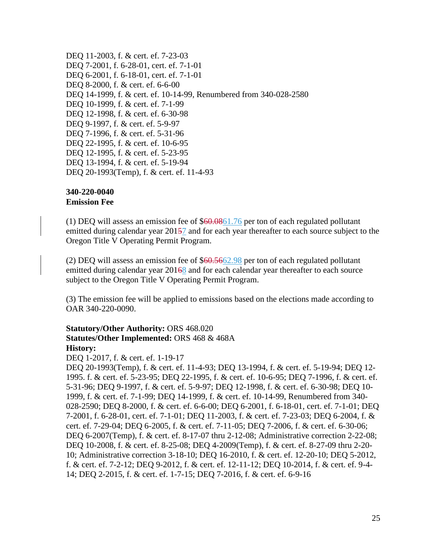DEQ 11-2003, f. & cert. ef. 7-23-03 DEQ 7-2001, f. 6-28-01, cert. ef. 7-1-01 DEQ 6-2001, f. 6-18-01, cert. ef. 7-1-01 DEQ 8-2000, f. & cert. ef. 6-6-00 DEQ 14-1999, f. & cert. ef. 10-14-99, Renumbered from 340-028-2580 DEQ 10-1999, f. & cert. ef. 7-1-99 DEQ 12-1998, f. & cert. ef. 6-30-98 DEQ 9-1997, f. & cert. ef. 5-9-97 DEQ 7-1996, f. & cert. ef. 5-31-96 DEQ 22-1995, f. & cert. ef. 10-6-95 DEQ 12-1995, f. & cert. ef. 5-23-95 DEQ 13-1994, f. & cert. ef. 5-19-94 DEQ 20-1993(Temp), f. & cert. ef. 11-4-93

#### **340-220-0040 Emission Fee**

(1) DEQ will assess an emission fee of \$60.0861.76 per ton of each regulated pollutant emitted during calendar year 20157 and for each year thereafter to each source subject to the Oregon Title V Operating Permit Program.

(2) DEQ will assess an emission fee of \$60.5662.98 per ton of each regulated pollutant emitted during calendar year 20168 and for each calendar year thereafter to each source subject to the Oregon Title V Operating Permit Program.

(3) The emission fee will be applied to emissions based on the elections made according to OAR 340-220-0090.

#### **Statutory/Other Authority:** ORS 468.020 **Statutes/Other Implemented:** ORS 468 & 468A **History:**

DEQ 1-2017, f. & cert. ef. 1-19-17

DEQ 20-1993(Temp), f. & cert. ef. 11-4-93; DEQ 13-1994, f. & cert. ef. 5-19-94; DEQ 12- 1995. f. & cert. ef. 5-23-95; DEQ 22-1995, f. & cert. ef. 10-6-95; DEQ 7-1996, f. & cert. ef. 5-31-96; DEQ 9-1997, f. & cert. ef. 5-9-97; DEQ 12-1998, f. & cert. ef. 6-30-98; DEQ 10- 1999, f. & cert. ef. 7-1-99; DEQ 14-1999, f. & cert. ef. 10-14-99, Renumbered from 340- 028-2590; DEQ 8-2000, f. & cert. ef. 6-6-00; DEQ 6-2001, f. 6-18-01, cert. ef. 7-1-01; DEQ 7-2001, f. 6-28-01, cert. ef. 7-1-01; DEQ 11-2003, f. & cert. ef. 7-23-03; DEQ 6-2004, f. & cert. ef. 7-29-04; DEQ 6-2005, f. & cert. ef. 7-11-05; DEQ 7-2006, f. & cert. ef. 6-30-06; DEQ 6-2007(Temp), f. & cert. ef. 8-17-07 thru 2-12-08; Administrative correction 2-22-08; DEQ 10-2008, f. & cert. ef. 8-25-08; DEQ 4-2009(Temp), f. & cert. ef. 8-27-09 thru 2-20- 10; Administrative correction 3-18-10; DEQ 16-2010, f. & cert. ef. 12-20-10; DEQ 5-2012, f. & cert. ef. 7-2-12; DEQ 9-2012, f. & cert. ef. 12-11-12; DEQ 10-2014, f. & cert. ef. 9-4- 14; DEQ 2-2015, f. & cert. ef. 1-7-15; DEQ 7-2016, f. & cert. ef. 6-9-16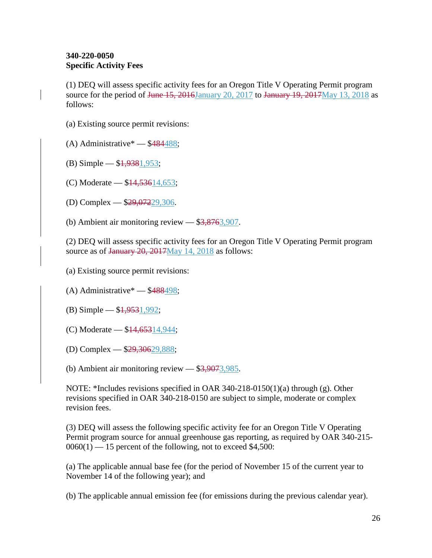### **340-220-0050 Specific Activity Fees**

(1) DEQ will assess specific activity fees for an Oregon Title V Operating Permit program source for the period of <del>June 15, 2016</del>January 20, 2017 to January 19, 2017May 13, 2018 as follows:

- (a) Existing source permit revisions:
- $(A)$  Administrative\*  $-$  \$484488;
- $(B)$  Simple  $$1,9381,953;$
- (C) Moderate \$14,53614,653;
- (D) Complex \$29,07229,306.
- (b) Ambient air monitoring review  $-$  \$3,8763,907.

(2) DEQ will assess specific activity fees for an Oregon Title V Operating Permit program source as of January 20, 2017May 14, 2018 as follows:

(a) Existing source permit revisions:

- (A) Administrative\*  $-$  \$488498;
- (B) Simple  $$1,9531,992;$
- (C) Moderate \$14,65314,944;
- (D) Complex \$29,30629,888;

(b) Ambient air monitoring review  $-$  \$3,9073,985.

NOTE: \*Includes revisions specified in OAR 340-218-0150(1)(a) through (g). Other revisions specified in OAR 340-218-0150 are subject to simple, moderate or complex revision fees.

(3) DEQ will assess the following specific activity fee for an Oregon Title V Operating Permit program source for annual greenhouse gas reporting, as required by OAR 340-215-  $0060(1)$  — 15 percent of the following, not to exceed \$4,500:

(a) The applicable annual base fee (for the period of November 15 of the current year to November 14 of the following year); and

(b) The applicable annual emission fee (for emissions during the previous calendar year).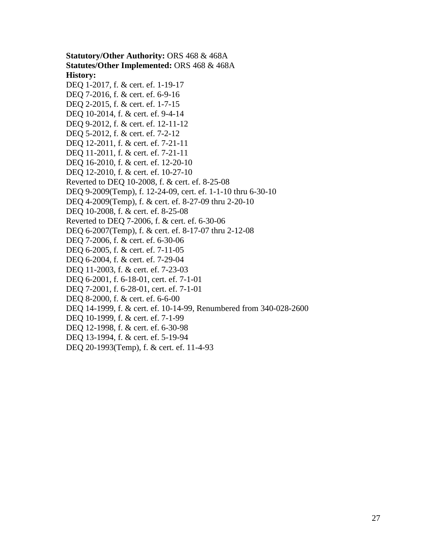**Statutory/Other Authority:** ORS 468 & 468A **Statutes/Other Implemented:** ORS 468 & 468A **History:** DEQ 1-2017, f. & cert. ef. 1-19-17 DEQ 7-2016, f. & cert. ef. 6-9-16 DEQ 2-2015, f. & cert. ef. 1-7-15 DEQ 10-2014, f. & cert. ef. 9-4-14 DEQ 9-2012, f. & cert. ef. 12-11-12 DEQ 5-2012, f. & cert. ef. 7-2-12 DEQ 12-2011, f. & cert. ef. 7-21-11 DEQ 11-2011, f. & cert. ef. 7-21-11 DEQ 16-2010, f. & cert. ef. 12-20-10 DEQ 12-2010, f. & cert. ef. 10-27-10 Reverted to DEQ 10-2008, f. & cert. ef. 8-25-08 DEQ 9-2009(Temp), f. 12-24-09, cert. ef. 1-1-10 thru 6-30-10 DEQ 4-2009(Temp), f. & cert. ef. 8-27-09 thru 2-20-10 DEQ 10-2008, f. & cert. ef. 8-25-08 Reverted to DEQ 7-2006, f. & cert. ef. 6-30-06 DEQ 6-2007(Temp), f. & cert. ef. 8-17-07 thru 2-12-08 DEQ 7-2006, f. & cert. ef. 6-30-06 DEQ 6-2005, f. & cert. ef. 7-11-05 DEQ 6-2004, f. & cert. ef. 7-29-04 DEQ 11-2003, f. & cert. ef. 7-23-03 DEQ 6-2001, f. 6-18-01, cert. ef. 7-1-01 DEQ 7-2001, f. 6-28-01, cert. ef. 7-1-01 DEQ 8-2000, f. & cert. ef. 6-6-00 DEQ 14-1999, f. & cert. ef. 10-14-99, Renumbered from 340-028-2600 DEQ 10-1999, f. & cert. ef. 7-1-99 DEQ 12-1998, f. & cert. ef. 6-30-98 DEQ 13-1994, f. & cert. ef. 5-19-94 DEQ 20-1993(Temp), f. & cert. ef. 11-4-93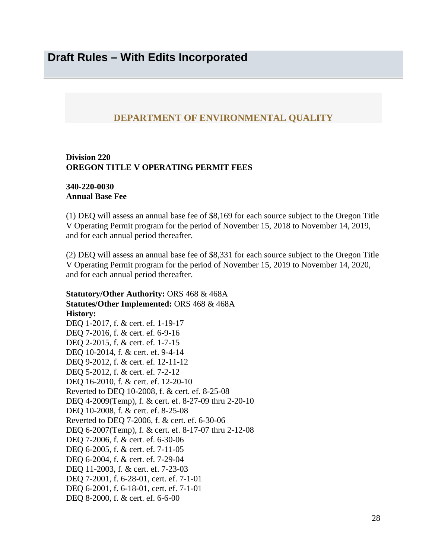## <span id="page-27-0"></span>**DEPARTMENT OF ENVIRONMENTAL QUALITY**

#### **Division 220 OREGON TITLE V OPERATING PERMIT FEES**

#### **340-220-0030 Annual Base Fee**

(1) DEQ will assess an annual base fee of \$8,169 for each source subject to the Oregon Title V Operating Permit program for the period of November 15, 2018 to November 14, 2019, and for each annual period thereafter.

(2) DEQ will assess an annual base fee of \$8,331 for each source subject to the Oregon Title V Operating Permit program for the period of November 15, 2019 to November 14, 2020, and for each annual period thereafter.

**Statutory/Other Authority:** ORS 468 & 468A **Statutes/Other Implemented:** ORS 468 & 468A **History:** DEQ 1-2017, f. & cert. ef. 1-19-17 DEQ 7-2016, f. & cert. ef. 6-9-16 DEQ 2-2015, f. & cert. ef. 1-7-15 DEQ 10-2014, f. & cert. ef. 9-4-14 DEQ 9-2012, f. & cert. ef. 12-11-12 DEQ 5-2012, f. & cert. ef. 7-2-12 DEQ 16-2010, f. & cert. ef. 12-20-10 Reverted to DEQ 10-2008, f. & cert. ef. 8-25-08 DEQ 4-2009(Temp), f. & cert. ef. 8-27-09 thru 2-20-10 DEQ 10-2008, f. & cert. ef. 8-25-08 Reverted to DEQ 7-2006, f. & cert. ef. 6-30-06 DEQ 6-2007(Temp), f. & cert. ef. 8-17-07 thru 2-12-08 DEQ 7-2006, f. & cert. ef. 6-30-06 DEQ 6-2005, f. & cert. ef. 7-11-05 DEQ 6-2004, f. & cert. ef. 7-29-04 DEQ 11-2003, f. & cert. ef. 7-23-03 DEQ 7-2001, f. 6-28-01, cert. ef. 7-1-01 DEQ 6-2001, f. 6-18-01, cert. ef. 7-1-01 DEQ 8-2000, f. & cert. ef. 6-6-00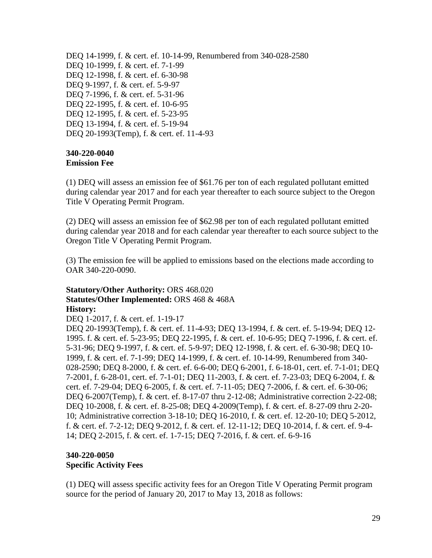DEQ 14-1999, f. & cert. ef. 10-14-99, Renumbered from 340-028-2580 DEQ 10-1999, f. & cert. ef. 7-1-99 DEQ 12-1998, f. & cert. ef. 6-30-98 DEQ 9-1997, f. & cert. ef. 5-9-97 DEQ 7-1996, f. & cert. ef. 5-31-96 DEQ 22-1995, f. & cert. ef. 10-6-95 DEQ 12-1995, f. & cert. ef. 5-23-95 DEQ 13-1994, f. & cert. ef. 5-19-94 DEQ 20-1993(Temp), f. & cert. ef. 11-4-93

#### **340-220-0040 Emission Fee**

(1) DEQ will assess an emission fee of \$61.76 per ton of each regulated pollutant emitted during calendar year 2017 and for each year thereafter to each source subject to the Oregon Title V Operating Permit Program.

(2) DEQ will assess an emission fee of \$62.98 per ton of each regulated pollutant emitted during calendar year 2018 and for each calendar year thereafter to each source subject to the Oregon Title V Operating Permit Program.

(3) The emission fee will be applied to emissions based on the elections made according to OAR 340-220-0090.

#### **Statutory/Other Authority:** ORS 468.020 **Statutes/Other Implemented:** ORS 468 & 468A **History:**

DEQ 1-2017, f. & cert. ef. 1-19-17

DEQ 20-1993(Temp), f. & cert. ef. 11-4-93; DEQ 13-1994, f. & cert. ef. 5-19-94; DEQ 12- 1995. f. & cert. ef. 5-23-95; DEQ 22-1995, f. & cert. ef. 10-6-95; DEQ 7-1996, f. & cert. ef. 5-31-96; DEQ 9-1997, f. & cert. ef. 5-9-97; DEQ 12-1998, f. & cert. ef. 6-30-98; DEQ 10- 1999, f. & cert. ef. 7-1-99; DEQ 14-1999, f. & cert. ef. 10-14-99, Renumbered from 340- 028-2590; DEQ 8-2000, f. & cert. ef. 6-6-00; DEQ 6-2001, f. 6-18-01, cert. ef. 7-1-01; DEQ 7-2001, f. 6-28-01, cert. ef. 7-1-01; DEQ 11-2003, f. & cert. ef. 7-23-03; DEQ 6-2004, f. & cert. ef. 7-29-04; DEQ 6-2005, f. & cert. ef. 7-11-05; DEQ 7-2006, f. & cert. ef. 6-30-06; DEQ 6-2007(Temp), f. & cert. ef. 8-17-07 thru 2-12-08; Administrative correction 2-22-08; DEQ 10-2008, f. & cert. ef. 8-25-08; DEQ 4-2009(Temp), f. & cert. ef. 8-27-09 thru 2-20- 10; Administrative correction 3-18-10; DEQ 16-2010, f. & cert. ef. 12-20-10; DEQ 5-2012, f. & cert. ef. 7-2-12; DEQ 9-2012, f. & cert. ef. 12-11-12; DEQ 10-2014, f. & cert. ef. 9-4- 14; DEQ 2-2015, f. & cert. ef. 1-7-15; DEQ 7-2016, f. & cert. ef. 6-9-16

### **340-220-0050 Specific Activity Fees**

(1) DEQ will assess specific activity fees for an Oregon Title V Operating Permit program source for the period of January 20, 2017 to May 13, 2018 as follows: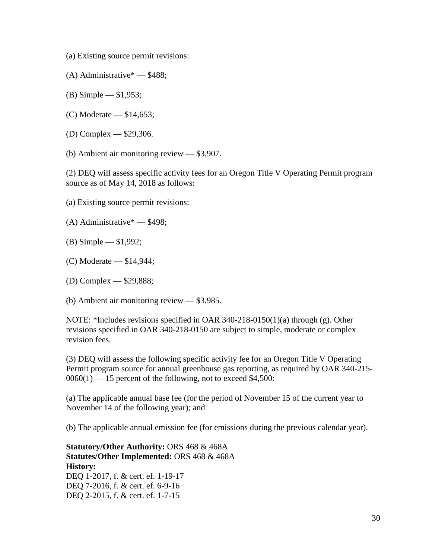- (a) Existing source permit revisions:
- (A) Administrative\* \$488;
- (B) Simple \$1,953;
- (C) Moderate \$14,653;
- (D) Complex \$29,306.
- (b) Ambient air monitoring review \$3,907.

(2) DEQ will assess specific activity fees for an Oregon Title V Operating Permit program source as of May 14, 2018 as follows:

- (a) Existing source permit revisions:
- (A) Administrative\* \$498;
- (B) Simple \$1,992;
- (C) Moderate \$14,944;
- (D) Complex \$29,888;

(b) Ambient air monitoring review — \$3,985.

NOTE: \*Includes revisions specified in OAR 340-218-0150(1)(a) through (g). Other revisions specified in OAR 340-218-0150 are subject to simple, moderate or complex revision fees.

(3) DEQ will assess the following specific activity fee for an Oregon Title V Operating Permit program source for annual greenhouse gas reporting, as required by OAR 340-215-  $0060(1)$  — 15 percent of the following, not to exceed \$4,500:

(a) The applicable annual base fee (for the period of November 15 of the current year to November 14 of the following year); and

(b) The applicable annual emission fee (for emissions during the previous calendar year).

**Statutory/Other Authority:** ORS 468 & 468A **Statutes/Other Implemented:** ORS 468 & 468A **History:** DEQ 1-2017, f. & cert. ef. 1-19-17 DEQ 7-2016, f. & cert. ef. 6-9-16 DEQ 2-2015, f. & cert. ef. 1-7-15